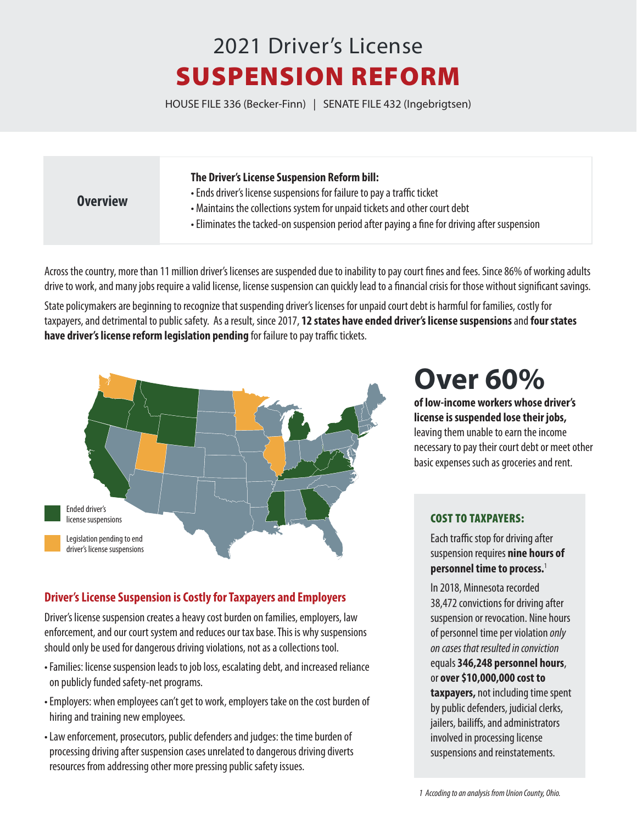# 2021 Driver's License SUSPENSION REFORM

HOUSE FILE 336 (Becker-Finn) | SENATE FILE 432 (Ingebrigtsen)

#### **The Driver's License Suspension Reform bill:**

#### **Overview**

- Ends driver's license suspensions for failure to pay a traffic ticket
- Maintains the collections system for unpaid tickets and other court debt
- Eliminates the tacked-on suspension period after paying a fine for driving after suspension

Across the country, more than 11 million driver's licenses are suspended due to inability to pay court fines and fees. Since 86% of working adults drive to work, and many jobs require a valid license, license suspension can quickly lead to a financial crisis for those without significant savings.

State policymakers are beginning to recognize that suspending driver's licenses for unpaid court debt is harmful for families, costly for taxpayers, and detrimental to public safety. As a result, since 2017, **12 states have ended driver's license suspensions** and **four states have driver's license reform legislation pending** for failure to pay traffic tickets.



## **Driver's License Suspension is Costly for Taxpayers and Employers**

Driver's license suspension creates a heavy cost burden on families, employers, law enforcement, and our court system and reduces our tax base. This is why suspensions should only be used for dangerous driving violations, not as a collections tool.

- Families: license suspension leads to job loss, escalating debt, and increased reliance on publicly funded safety-net programs.
- Employers: when employees can't get to work, employers take on the cost burden of hiring and training new employees.
- Law enforcement, prosecutors, public defenders and judges: the time burden of processing driving after suspension cases unrelated to dangerous driving diverts resources from addressing other more pressing public safety issues.

# **Over 60%**

**of low-income workers whose driver's license is suspended lose their jobs,**  leaving them unable to earn the income necessary to pay their court debt or meet other basic expenses such as groceries and rent.

#### COST TO TAXPAYERS:

Each traffic stop for driving after suspension requires **nine hours of personnel time to process.**<sup>1</sup>

In 2018, Minnesota recorded 38,472 convictions for driving after suspension or revocation. Nine hours of personnel time per violation *only on cases that resulted in conviction* equals **346,248 personnel hours**, or **over \$10,000,000 cost to taxpayers,** not including time spent by public defenders, judicial clerks, jailers, bailiffs, and administrators involved in processing license suspensions and reinstatements.